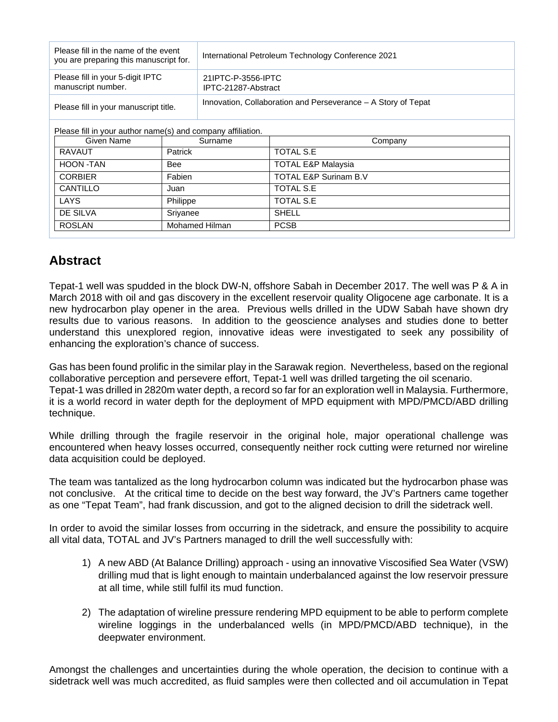| Please fill in the name of the event<br>you are preparing this manuscript for. | International Petroleum Technology Conference 2021            |  |
|--------------------------------------------------------------------------------|---------------------------------------------------------------|--|
| Please fill in your 5-digit IPTC<br>manuscript number.                         | 21IPTC-P-3556-IPTC<br>IPTC-21287-Abstract                     |  |
| Please fill in your manuscript title.                                          | Innovation, Collaboration and Perseverance - A Story of Tepat |  |
|                                                                                |                                                               |  |

Please fill in your author name(s) and company affiliation.

| Given Name     | Surname        | Company                       |
|----------------|----------------|-------------------------------|
| RAVAUT         | Patrick        | TOTAL S.E                     |
| HOON -TAN      | Bee            | <b>TOTAL E&amp;P Malaysia</b> |
| <b>CORBIER</b> | Fabien         | TOTAL E&P Surinam B.V         |
| CANTILLO       | Juan           | TOTAL S.E                     |
| LAYS           | Philippe       | TOTAL S.E                     |
| DE SILVA       | Srivanee       | <b>SHELL</b>                  |
| <b>ROSLAN</b>  | Mohamed Hilman | <b>PCSB</b>                   |

## **Abstract**

Tepat-1 well was spudded in the block DW-N, offshore Sabah in December 2017. The well was P & A in March 2018 with oil and gas discovery in the excellent reservoir quality Oligocene age carbonate. It is a new hydrocarbon play opener in the area. Previous wells drilled in the UDW Sabah have shown dry results due to various reasons. In addition to the geoscience analyses and studies done to better understand this unexplored region, innovative ideas were investigated to seek any possibility of enhancing the exploration's chance of success.

Gas has been found prolific in the similar play in the Sarawak region. Nevertheless, based on the regional collaborative perception and persevere effort, Tepat-1 well was drilled targeting the oil scenario. Tepat-1 was drilled in 2820m water depth, a record so far for an exploration well in Malaysia. Furthermore, it is a world record in water depth for the deployment of MPD equipment with MPD/PMCD/ABD drilling technique.

While drilling through the fragile reservoir in the original hole, major operational challenge was encountered when heavy losses occurred, consequently neither rock cutting were returned nor wireline data acquisition could be deployed.

The team was tantalized as the long hydrocarbon column was indicated but the hydrocarbon phase was not conclusive. At the critical time to decide on the best way forward, the JV's Partners came together as one "Tepat Team", had frank discussion, and got to the aligned decision to drill the sidetrack well.

In order to avoid the similar losses from occurring in the sidetrack, and ensure the possibility to acquire all vital data, TOTAL and JV's Partners managed to drill the well successfully with:

- 1) A new ABD (At Balance Drilling) approach using an innovative Viscosified Sea Water (VSW) drilling mud that is light enough to maintain underbalanced against the low reservoir pressure at all time, while still fulfil its mud function.
- 2) The adaptation of wireline pressure rendering MPD equipment to be able to perform complete wireline loggings in the underbalanced wells (in MPD/PMCD/ABD technique), in the deepwater environment.

Amongst the challenges and uncertainties during the whole operation, the decision to continue with a sidetrack well was much accredited, as fluid samples were then collected and oil accumulation in Tepat